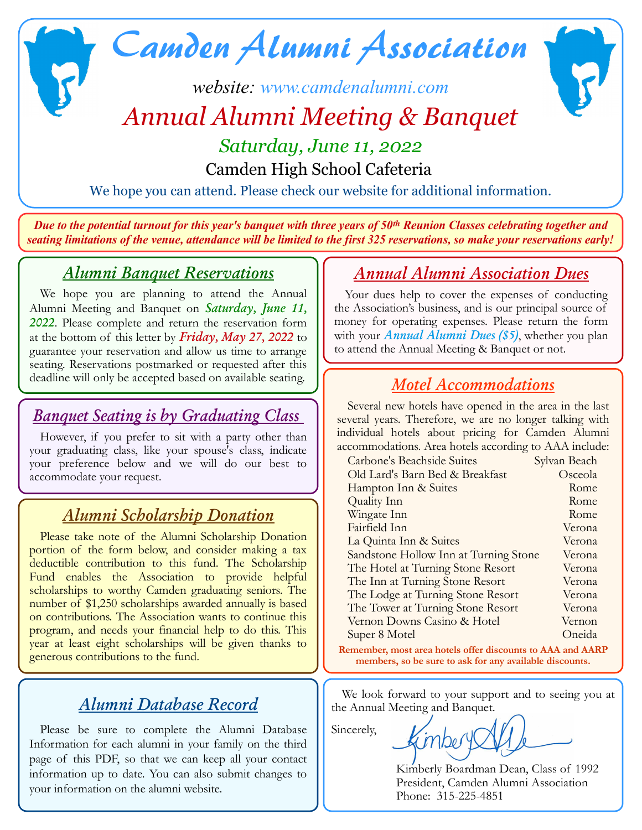# Camden Alumni Association

# *website: [www.camdenalumni.com](http://www.camdenalumni.com/) Annual Alumni Meeting & Banquet*



# *Saturday, June 11, 2022*

Camden High School Cafeteria

We hope you can attend. Please check our website for additional information.

*Due to the potential turnout for this year's banquet with three years of 50th Reunion Classes celebrating together and seating limitations of the venue, attendance will be limited to the first 325 reservations, so make your reservations early!*

#### *Alumni Banquet Reservations*

We hope you are planning to attend the Annual Alumni Meeting and Banquet on *Saturday, June 11, 2022*. Please complete and return the reservation form at the bottom of this letter by *Friday, May 27, 2022* to guarantee your reservation and allow us time to arrange seating. Reservations postmarked or requested after this deadline will only be accepted based on available seating.

#### *Banquet Seating is by Graduating Class*

However, if you prefer to sit with a party other than your graduating class, like your spouse's class, indicate your preference below and we will do our best to accommodate your request.

## *Alumni Scholarship Donation*

Please take note of the Alumni Scholarship Donation portion of the form below, and consider making a tax deductible contribution to this fund. The Scholarship Fund enables the Association to provide helpful scholarships to worthy Camden graduating seniors. The number of \$1,250 scholarships awarded annually is based on contributions. The Association wants to continue this program, and needs your financial help to do this. This year at least eight scholarships will be given thanks to generous contributions to the fund.

## *Alumni Database Record*

Please be sure to complete the Alumni Database Information for each alumni in your family on the third page of this PDF, so that we can keep all your contact information up to date. You can also submit changes to your information on the alumni website.

#### *Annual Alumni Association Dues*

Your dues help to cover the expenses of conducting the Association's business, and is our principal source of money for operating expenses. Please return the form with your *Annual Alumni Dues (\$5)*, whether you plan to attend the Annual Meeting & Banquet or not.

## *Motel Accommodations*

Several new hotels have opened in the area in the last several years. Therefore, we are no longer talking with individual hotels about pricing for Camden Alumni accommodations. Area hotels according to AAA include:

| Carbone's Beachside Suites                                                                                            | Sylvan Beach |  |
|-----------------------------------------------------------------------------------------------------------------------|--------------|--|
| Old Lard's Barn Bed & Breakfast                                                                                       | Osceola      |  |
| Hampton Inn & Suites                                                                                                  | Rome         |  |
| Quality Inn                                                                                                           | Rome         |  |
| Wingate Inn                                                                                                           | Rome         |  |
| Fairfield Inn                                                                                                         | Verona       |  |
| La Quinta Inn & Suites                                                                                                | Verona       |  |
| Sandstone Hollow Inn at Turning Stone                                                                                 | Verona       |  |
| The Hotel at Turning Stone Resort                                                                                     | Verona       |  |
| The Inn at Turning Stone Resort                                                                                       | Verona       |  |
| The Lodge at Turning Stone Resort                                                                                     | Verona       |  |
| The Tower at Turning Stone Resort                                                                                     | Verona       |  |
| Vernon Downs Casino & Hotel                                                                                           | Vernon       |  |
| Super 8 Motel                                                                                                         | Oneida       |  |
| Remember, most area hotels offer discounts to AAA and AARP<br>members, so be sure to ask for any available discounts. |              |  |

We look forward to your support and to seeing you at the Annual Meeting and Banquet.

Sincerely,

inbery

Kimberly Boardman Dean, Class of 1992 President, Camden Alumni Association Phone: 315-225-4851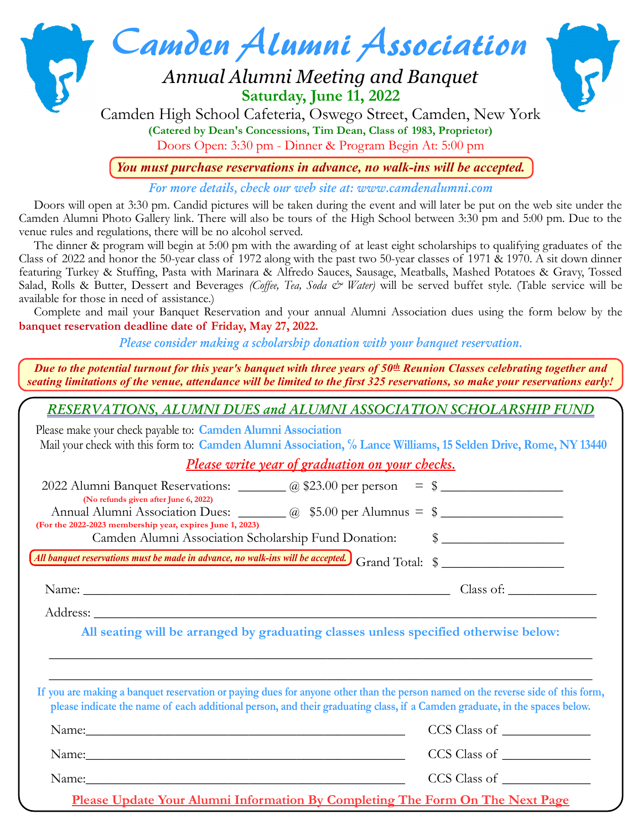

Doors Open: 3:30 pm - Dinner & Program Begin At: 5:00 pm

*You must purchase reservations in advance, no walk-ins will be accepted.*

*For more details, check our web site at: [www.camdenalumni.com](http://www.camdenalumni.com/)*

Doors will open at 3:30 pm. Candid pictures will be taken during the event and will later be put on the web site under the Camden Alumni Photo Gallery link. There will also be tours of the High School between 3:30 pm and 5:00 pm. Due to the venue rules and regulations, there will be no alcohol served.

The dinner & program will begin at 5:00 pm with the awarding of at least eight scholarships to qualifying graduates of the Class of 2022 and honor the 50-year class of 1972 along with the past two 50-year classes of 1971 & 1970. A sit down dinner featuring Turkey & Stuffing, Pasta with Marinara & Alfredo Sauces, Sausage, Meatballs, Mashed Potatoes & Gravy, Tossed Salad, Rolls & Butter, Dessert and Beverages *(Coffee, Tea, Soda & Water)* will be served buffet style. (Table service will be available for those in need of assistance.)

Complete and mail your Banquet Reservation and your annual Alumni Association dues using the form below by the **banquet reservation deadline date of Friday, May 27, 2022***.*

*Please consider making a scholarship donation with your banquet reservation.*

*Due to the potential turnout for this year's banquet with three years of 50th Reunion Classes celebrating together and seating limitations of the venue, attendance will be limited to the first 325 reservations, so make your reservations early!*

*RESERVATIONS, ALUMNI DUES and ALUMNI ASSOCIATION SCHOLARSHIP FUND*

Please make your check payable to: **Camden Alumni Association** Mail your check with this form to: **Camden Alumni Association, % Lance Williams, 15 Selden Drive, Rome, NY 13440** 

*Please write year of graduation on your checks.*

| 2022 Alumni Banquet Reservations: _______ @ \$23.00 per person = \$<br>(No refunds given after June 6, 2022)                                                                                                                                                  |  |
|---------------------------------------------------------------------------------------------------------------------------------------------------------------------------------------------------------------------------------------------------------------|--|
| Annual Alumni Association Dues: 200 \$5.00 per Alumnus = \$                                                                                                                                                                                                   |  |
| (For the 2022-2023 membership year, expires June 1, 2023)<br>Camden Alumni Association Scholarship Fund Donation: \§ _________________________                                                                                                                |  |
| All banquet reservations must be made in advance, no walk-ins will be accepted. Grand Total: \$                                                                                                                                                               |  |
| Name: Class of: Class of:                                                                                                                                                                                                                                     |  |
|                                                                                                                                                                                                                                                               |  |
| All seating will be arranged by graduating classes unless specified otherwise below:                                                                                                                                                                          |  |
|                                                                                                                                                                                                                                                               |  |
| If you are making a banquet reservation or paying dues for anyone other than the person named on the reverse side of this form,<br>please indicate the name of each additional person, and their graduating class, if a Camden graduate, in the spaces below. |  |
|                                                                                                                                                                                                                                                               |  |
|                                                                                                                                                                                                                                                               |  |
|                                                                                                                                                                                                                                                               |  |
| Please Update Your Alumni Information By Completing The Form On The Next Page                                                                                                                                                                                 |  |